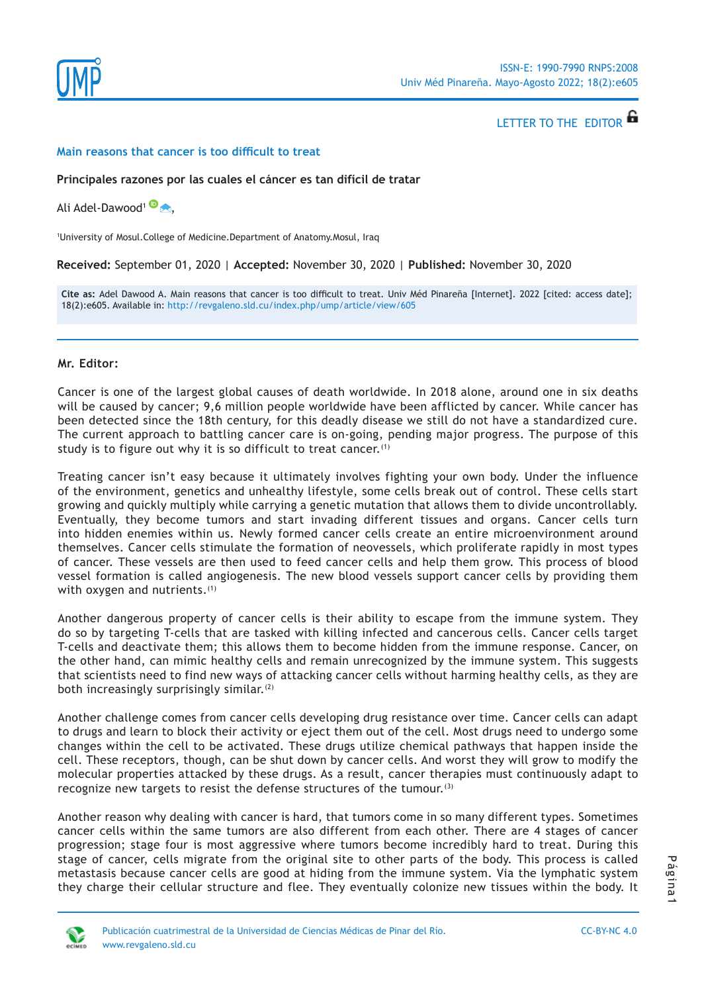

LETTER TO THE EDITOR

#### **Main reasons that cancer is too difficult to treat**

#### **Principales razones por las cuales el cáncer es tan difícil de tratar**

Ali Adel-Dawood<sup>1</sup><sup>®</sup>

1 University of Mosul.College of Medicine.Department of Anatomy.Mosul, Iraq

**Received:** September 01, 2020 | **Accepted:** November 30, 2020 | **Published:** November 30, 2020

**Cite as:** Adel Dawood A. Main reasons that cancer is too difficult to treat. Univ Méd Pinareña [Internet]. 2022 [cited: access date]; 18(2):e605. Available in:<http://revgaleno.sld.cu/index.php/ump/article/view/605>

### **Mr. Editor:**

Cancer is one of the largest global causes of death worldwide. In 2018 alone, around one in six deaths will be caused by cancer; 9,6 million people worldwide have been afflicted by cancer. While cancer has been detected since the 18th century, for this deadly disease we still do not have a standardized cure. The current approach to battling cancer care is on-going, pending major progress. The purpose of this study is to figure out why it is so difficult to treat cancer.<sup>(1)</sup>

Treating cancer isn't easy because it ultimately involves fighting your own body. Under the influence of the environment, genetics and unhealthy lifestyle, some cells break out of control. These cells start growing and quickly multiply while carrying a genetic mutation that allows them to divide uncontrollably. Eventually, they become tumors and start invading different tissues and organs. Cancer cells turn into hidden enemies within us. Newly formed cancer cells create an entire microenvironment around themselves. Cancer cells stimulate the formation of neovessels, which proliferate rapidly in most types of cancer. These vessels are then used to feed cancer cells and help them grow. This process of blood vessel formation is called angiogenesis. The new blood vessels support cancer cells by providing them with oxygen and nutrients.<sup>(1)</sup>

Another dangerous property of cancer cells is their ability to escape from the immune system. They do so by targeting T-cells that are tasked with killing infected and cancerous cells. Cancer cells target T-cells and deactivate them; this allows them to become hidden from the immune response. Cancer, on the other hand, can mimic healthy cells and remain unrecognized by the immune system. This suggests that scientists need to find new ways of attacking cancer cells without harming healthy cells, as they are both increasingly surprisingly similar. $(2)$ 

Another challenge comes from cancer cells developing drug resistance over time. Cancer cells can adapt to drugs and learn to block their activity or eject them out of the cell. Most drugs need to undergo some changes within the cell to be activated. These drugs utilize chemical pathways that happen inside the cell. These receptors, though, can be shut down by cancer cells. And worst they will grow to modify the molecular properties attacked by these drugs. As a result, cancer therapies must continuously adapt to recognize new targets to resist the defense structures of the tumour.<sup>(3)</sup>

Another reason why dealing with cancer is hard, that tumors come in so many different types. Sometimes cancer cells within the same tumors are also different from each other. There are 4 stages of cancer progression; stage four is most aggressive where tumors become incredibly hard to treat. During this stage of cancer, cells migrate from the original site to other parts of the body. This process is called metastasis because cancer cells are good at hiding from the immune system. Via the lymphatic system they charge their cellular structure and flee. They eventually colonize new tissues within the body. It

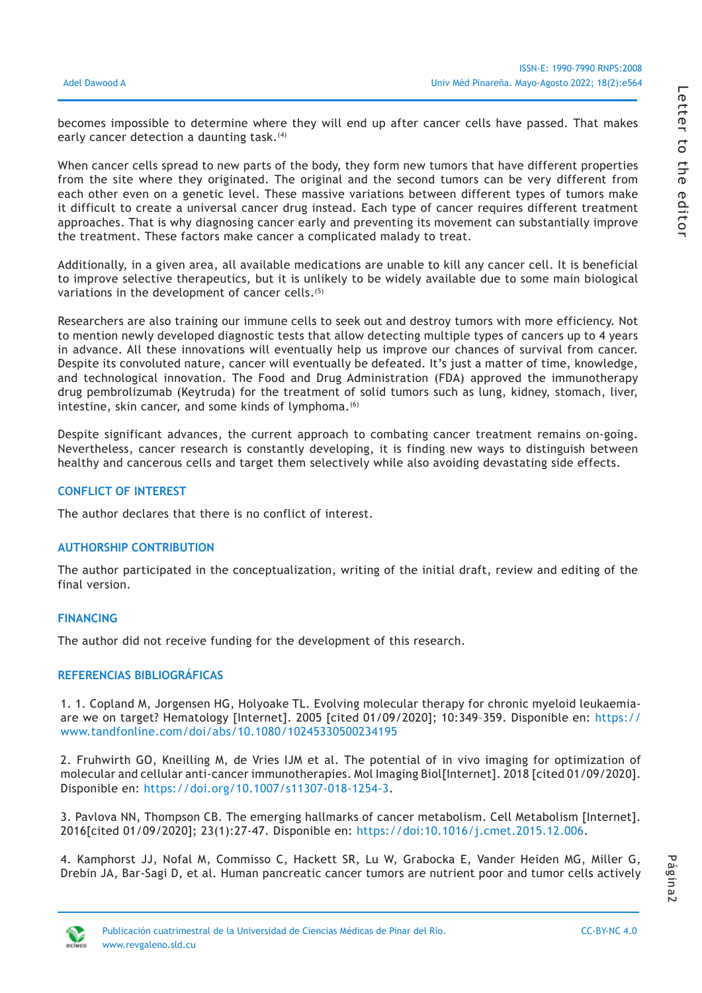becomes impossible to determine where they will end up after cancer cells have passed. That makes early cancer detection a daunting task.<sup>(4)</sup>

When cancer cells spread to new parts of the body, they form new tumors that have different properties from the site where they originated. The original and the second tumors can be very different from each other even on a genetic level. These massive variations between different types of tumors make it difficult to create a universal cancer drug instead. Each type of cancer requires different treatment approaches. That is why diagnosing cancer early and preventing its movement can substantially improve the treatment. These factors make cancer a complicated malady to treat.

Additionally, in a given area, all available medications are unable to kill any cancer cell. It is beneficial to improve selective therapeutics, but it is unlikely to be widely available due to some main biological variations in the development of cancer cells.<sup>(5)</sup>

Researchers are also training our immune cells to seek out and destroy tumors with more efficiency. Not to mention newly developed diagnostic tests that allow detecting multiple types of cancers up to 4 years in advance. All these innovations will eventually help us improve our chances of survival from cancer. Despite its convoluted nature, cancer will eventually be defeated. It's just a matter of time, knowledge, and technological innovation. The Food and Drug Administration (FDA) approved the immunotherapy drug pembrolizumab (Keytruda) for the treatment of solid tumors such as lung, kidney, stomach, liver, intestine, skin cancer, and some kinds of lymphoma.<sup>(6)</sup>

Despite significant advances, the current approach to combating cancer treatment remains on-going. Nevertheless, cancer research is constantly developing, it is finding new ways to distinguish between healthy and cancerous cells and target them selectively while also avoiding devastating side effects.

## **CONFLICT OF INTEREST**

The author declares that there is no conflict of interest.

# **AUTHORSHIP CONTRIBUTION**

The author participated in the conceptualization, writing of the initial draft, review and editing of the final version.

## **FINANCING**

The author did not receive funding for the development of this research.

### **REFERENCIAS BIBLIOGRÁFICAS**

1. 1. Copland M, Jorgensen HG, Holyoake TL. Evolving molecular therapy for chronic myeloid leukaemiaare we on target? Hematology [Internet]. 2005 [cited 01/09/2020]; 10:349–359. Disponible en: [https://](https://www.tandfonline.com/doi/abs/10.1080/10245330500234195) [www.tandfonline.com/doi/abs/10.1080/10245330500234195](https://www.tandfonline.com/doi/abs/10.1080/10245330500234195)

2. Fruhwirth GO, Kneilling M, de Vries IJM et al. The potential of in vivo imaging for optimization of molecular and cellular anti-cancer immunotherapies. Mol Imaging Biol[Internet]. 2018 [cited 01/09/2020]. Disponible en: <https://doi.org/10.1007/s11307-018-1254-3>.

3. Pavlova NN, Thompson CB. The emerging hallmarks of cancer metabolism. Cell Metabolism [Internet]. 2016[cited 01/09/2020]; 23(1):27-47. Disponible en: <https://doi:10.1016/j.cmet.2015.12.006>.

4. Kamphorst JJ, Nofal M, Commisso C, Hackett SR, Lu W, Grabocka E, Vander Heiden MG, Miller G, Drebin JA, Bar-Sagi D, et al. Human pancreatic cancer tumors are nutrient poor and tumor cells actively